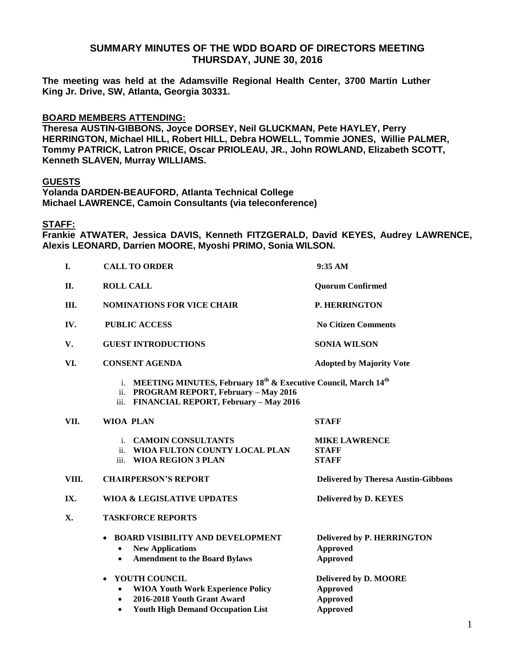### **SUMMARY MINUTES OF THE WDD BOARD OF DIRECTORS MEETING THURSDAY, JUNE 30, 2016**

**The meeting was held at the Adamsville Regional Health Center, 3700 Martin Luther King Jr. Drive, SW, Atlanta, Georgia 30331.** 

### **BOARD MEMBERS ATTENDING:**

**Theresa AUSTIN-GIBBONS, Joyce DORSEY, Neil GLUCKMAN, Pete HAYLEY, Perry HERRINGTON, Michael HILL, Robert HILL, Debra HOWELL, Tommie JONES, Willie PALMER, Tommy PATRICK, Latron PRICE, Oscar PRIOLEAU, JR., John ROWLAND, Elizabeth SCOTT, Kenneth SLAVEN, Murray WILLIAMS.**

#### **GUESTS**

**Yolanda DARDEN-BEAUFORD, Atlanta Technical College Michael LAWRENCE, Camoin Consultants (via teleconference)**

**STAFF:**

**Frankie ATWATER, Jessica DAVIS, Kenneth FITZGERALD, David KEYES, Audrey LAWRENCE, Alexis LEONARD, Darrien MOORE, Myoshi PRIMO, Sonia WILSON.**

| I.          | <b>CALL TO ORDER</b>                                                                                                                                                               | 9:35 AM                                                                 |
|-------------|------------------------------------------------------------------------------------------------------------------------------------------------------------------------------------|-------------------------------------------------------------------------|
| <b>II.</b>  | <b>ROLL CALL</b>                                                                                                                                                                   | <b>Quorum Confirmed</b>                                                 |
| III.        | <b>NOMINATIONS FOR VICE CHAIR</b>                                                                                                                                                  | <b>P. HERRINGTON</b>                                                    |
| IV.         | <b>PUBLIC ACCESS</b>                                                                                                                                                               | <b>No Citizen Comments</b>                                              |
| $V_{\cdot}$ | <b>GUEST INTRODUCTIONS</b>                                                                                                                                                         | <b>SONIA WILSON</b>                                                     |
| VI.         | <b>CONSENT AGENDA</b>                                                                                                                                                              | <b>Adopted by Majority Vote</b>                                         |
|             | i. MEETING MINUTES, February 18 <sup>th</sup> & Executive Council, March 14 <sup>th</sup><br>ii. PROGRAM REPORT, February - May 2016<br>iii. FINANCIAL REPORT, February - May 2016 |                                                                         |
| VII.        | <b>WIOA PLAN</b>                                                                                                                                                                   | <b>STAFF</b>                                                            |
|             | i. CAMOIN CONSULTANTS<br>ii. WIOA FULTON COUNTY LOCAL PLAN<br>iii. WIOA REGION 3 PLAN                                                                                              | <b>MIKE LAWRENCE</b><br><b>STAFF</b><br><b>STAFF</b>                    |
| VIII.       | <b>CHAIRPERSON'S REPORT</b>                                                                                                                                                        | <b>Delivered by Theresa Austin-Gibbons</b>                              |
| IX.         | <b>WIOA &amp; LEGISLATIVE UPDATES</b>                                                                                                                                              | <b>Delivered by D. KEYES</b>                                            |
| X.          | <b>TASKFORCE REPORTS</b>                                                                                                                                                           |                                                                         |
|             | <b>BOARD VISIBILITY AND DEVELOPMENT</b><br><b>New Applications</b><br><b>Amendment to the Board Bylaws</b><br>$\bullet$                                                            | <b>Delivered by P. HERRINGTON</b><br><b>Approved</b><br><b>Approved</b> |
|             | <b>YOUTH COUNCIL</b><br>$\bullet$                                                                                                                                                  | Delivered by D. MOORE                                                   |
|             | <b>WIOA Youth Work Experience Policy</b><br>$\bullet$                                                                                                                              | <b>Approved</b>                                                         |
|             | 2016-2018 Youth Grant Award<br>$\bullet$<br><b>Youth High Demand Occupation List</b><br>$\bullet$                                                                                  | <b>Approved</b><br><b>Approved</b>                                      |
|             |                                                                                                                                                                                    |                                                                         |